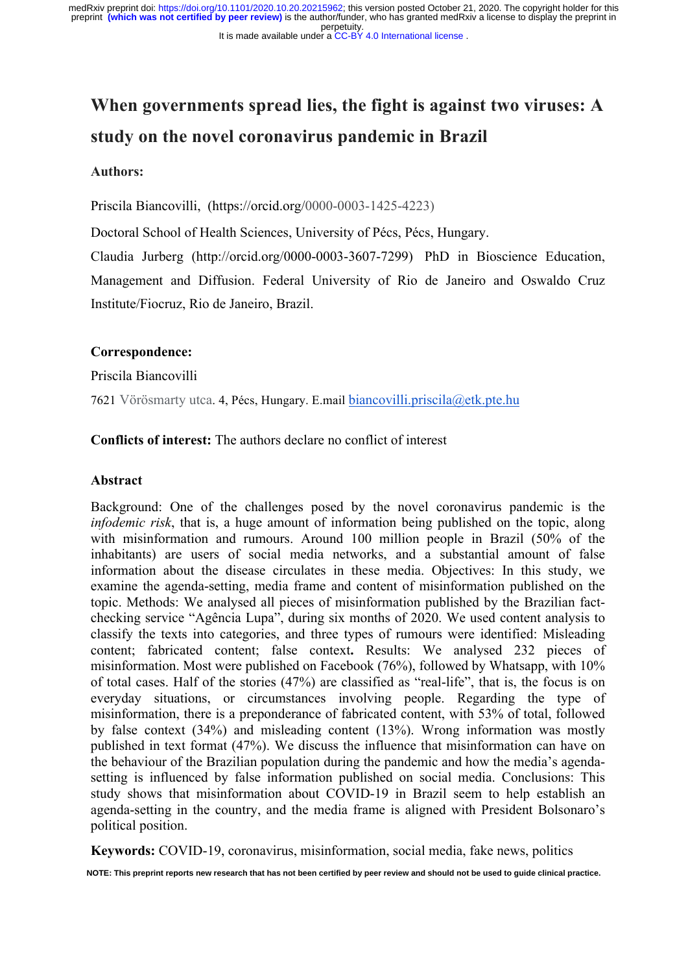perpetuity. medRxiv preprint doi: [https://doi.org/10.1101/2020.10.20.20215962;](https://doi.org/10.1101/2020.10.20.20215962) this version posted October 21, 2020. The copyright holder for this<br>preprint (which was not certified by peer review) is the author/funder, who has granted

#### It is made available under a [CC-BY 4.0 International license](http://creativecommons.org/licenses/by/4.0/) .

# **When governments spread lies, the fight is against two viruses: A study on the novel coronavirus pandemic in Brazil**

#### **Authors:**

Priscila Biancovilli, (https://orcid.org/0000-0003-1425-4223)

Doctoral School of Health Sciences, University of Pécs, Pécs, Hungary.

Claudia Jurberg (http://orcid.org/0000-0003-3607-7299) PhD in Bioscience Education, Management and Diffusion. Federal University of Rio de Janeiro and Oswaldo Cruz Institute/Fiocruz, Rio de Janeiro, Brazil.

#### **Correspondence:**

Priscila Biancovilli

7621 Vörösmarty utca. 4, Pécs, Hungary. E.mail biancovilli.priscila@etk.pte.hu

# **Conflicts of interest:** The authors declare no conflict of interest

#### **Abstract**

Background: One of the challenges posed by the novel coronavirus pandemic is the *infodemic risk*, that is, a huge amount of information being published on the topic, along with misinformation and rumours. Around 100 million people in Brazil (50% of the inhabitants) are users of social media networks, and a substantial amount of false information about the disease circulates in these media. Objectives: In this study, we examine the agenda-setting, media frame and content of misinformation published on the topic. Methods: We analysed all pieces of misinformation published by the Brazilian factchecking service "Agência Lupa", during six months of 2020. We used content analysis to classify the texts into categories, and three types of rumours were identified: Misleading content; fabricated content; false context**.** Results: We analysed 232 pieces of misinformation. Most were published on Facebook (76%), followed by Whatsapp, with 10% of total cases. Half of the stories (47%) are classified as "real-life", that is, the focus is on everyday situations, or circumstances involving people. Regarding the type of misinformation, there is a preponderance of fabricated content, with 53% of total, followed by false context (34%) and misleading content (13%). Wrong information was mostly published in text format (47%). We discuss the influence that misinformation can have on the behaviour of the Brazilian population during the pandemic and how the media's agendasetting is influenced by false information published on social media. Conclusions: This study shows that misinformation about COVID-19 in Brazil seem to help establish an agenda-setting in the country, and the media frame is aligned with President Bolsonaro's political position.

**Keywords:** COVID-19, coronavirus, misinformation, social media, fake news, politics

**NOTE: This preprint reports new research that has not been certified by peer review and should not be used to guide clinical practice.**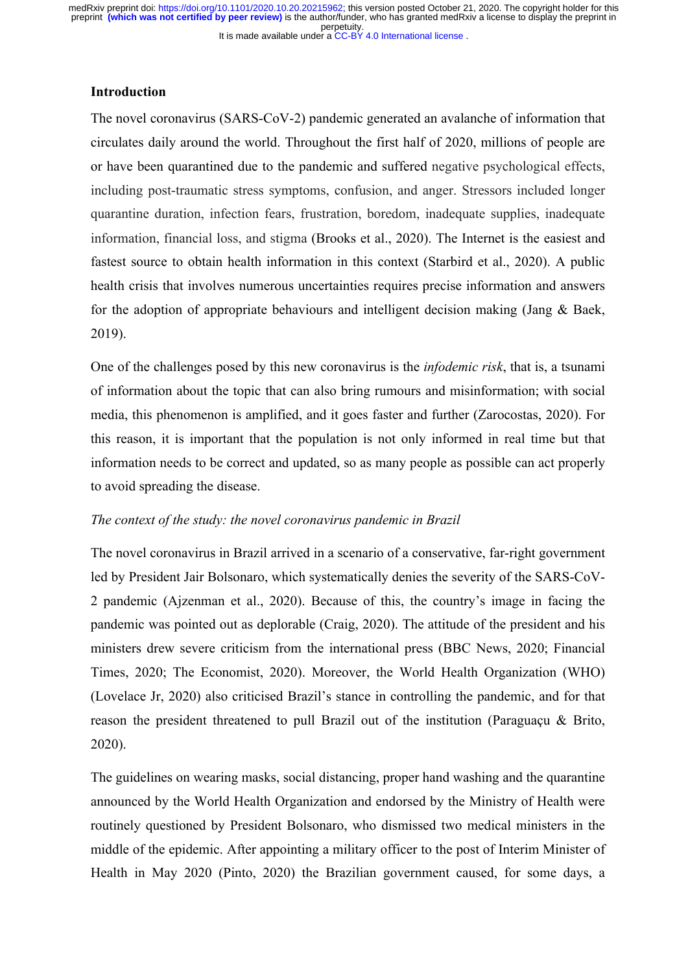#### **Introduction**

The novel coronavirus (SARS-CoV-2) pandemic generated an avalanche of information that circulates daily around the world. Throughout the first half of 2020, millions of people are or have been quarantined due to the pandemic and suffered negative psychological effects, including post-traumatic stress symptoms, confusion, and anger. Stressors included longer quarantine duration, infection fears, frustration, boredom, inadequate supplies, inadequate information, financial loss, and stigma (Brooks et al., 2020). The Internet is the easiest and fastest source to obtain health information in this context (Starbird et al., 2020). A public health crisis that involves numerous uncertainties requires precise information and answers for the adoption of appropriate behaviours and intelligent decision making (Jang & Baek, 2019).

One of the challenges posed by this new coronavirus is the *infodemic risk*, that is, a tsunami of information about the topic that can also bring rumours and misinformation; with social media, this phenomenon is amplified, and it goes faster and further (Zarocostas, 2020). For this reason, it is important that the population is not only informed in real time but that information needs to be correct and updated, so as many people as possible can act properly to avoid spreading the disease.

#### *The context of the study: the novel coronavirus pandemic in Brazil*

The novel coronavirus in Brazil arrived in a scenario of a conservative, far-right government led by President Jair Bolsonaro, which systematically denies the severity of the SARS-CoV-2 pandemic (Ajzenman et al., 2020). Because of this, the country's image in facing the pandemic was pointed out as deplorable (Craig, 2020). The attitude of the president and his ministers drew severe criticism from the international press (BBC News, 2020; Financial Times, 2020; The Economist, 2020). Moreover, the World Health Organization (WHO) (Lovelace Jr, 2020) also criticised Brazil's stance in controlling the pandemic, and for that reason the president threatened to pull Brazil out of the institution (Paraguaçu & Brito, 2020).

The guidelines on wearing masks, social distancing, proper hand washing and the quarantine announced by the World Health Organization and endorsed by the Ministry of Health were routinely questioned by President Bolsonaro, who dismissed two medical ministers in the middle of the epidemic. After appointing a military officer to the post of Interim Minister of Health in May 2020 (Pinto, 2020) the Brazilian government caused, for some days, a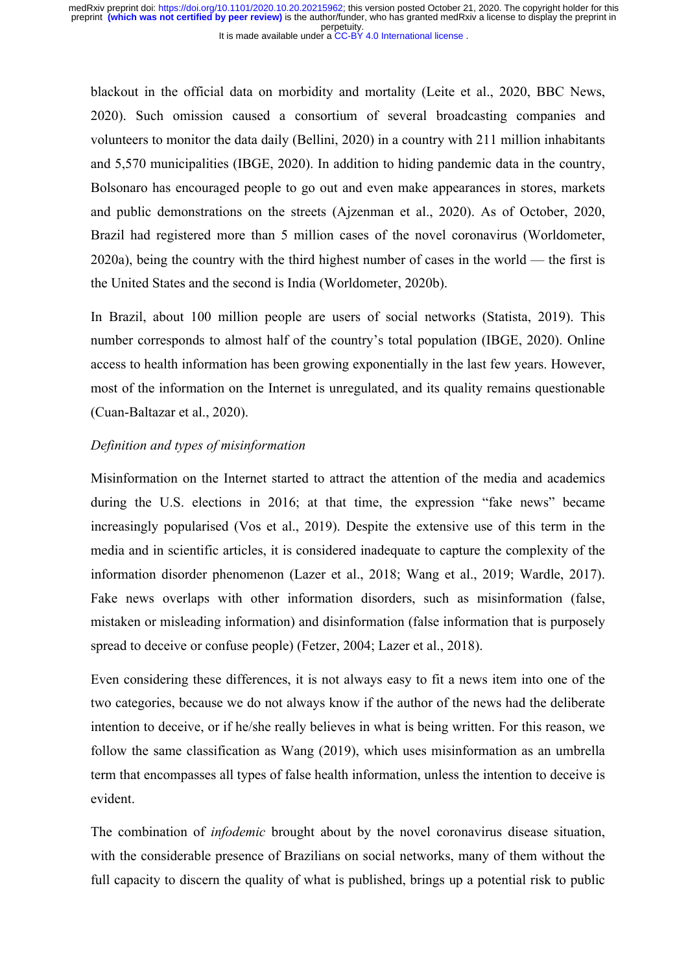blackout in the official data on morbidity and mortality (Leite et al., 2020, BBC News, 2020). Such omission caused a consortium of several broadcasting companies and volunteers to monitor the data daily (Bellini, 2020) in a country with 211 million inhabitants and 5,570 municipalities (IBGE, 2020). In addition to hiding pandemic data in the country, Bolsonaro has encouraged people to go out and even make appearances in stores, markets and public demonstrations on the streets (Ajzenman et al., 2020). As of October, 2020, Brazil had registered more than 5 million cases of the novel coronavirus (Worldometer, 2020a), being the country with the third highest number of cases in the world — the first is the United States and the second is India (Worldometer, 2020b).

In Brazil, about 100 million people are users of social networks (Statista, 2019). This number corresponds to almost half of the country's total population (IBGE, 2020). Online access to health information has been growing exponentially in the last few years. However, most of the information on the Internet is unregulated, and its quality remains questionable (Cuan-Baltazar et al., 2020).

#### *Definition and types of misinformation*

Misinformation on the Internet started to attract the attention of the media and academics during the U.S. elections in 2016; at that time, the expression "fake news" became increasingly popularised (Vos et al., 2019). Despite the extensive use of this term in the media and in scientific articles, it is considered inadequate to capture the complexity of the information disorder phenomenon (Lazer et al., 2018; Wang et al., 2019; Wardle, 2017). Fake news overlaps with other information disorders, such as misinformation (false, mistaken or misleading information) and disinformation (false information that is purposely spread to deceive or confuse people) (Fetzer, 2004; Lazer et al., 2018).

Even considering these differences, it is not always easy to fit a news item into one of the two categories, because we do not always know if the author of the news had the deliberate intention to deceive, or if he/she really believes in what is being written. For this reason, we follow the same classification as Wang (2019), which uses misinformation as an umbrella term that encompasses all types of false health information, unless the intention to deceive is evident.

The combination of *infodemic* brought about by the novel coronavirus disease situation, with the considerable presence of Brazilians on social networks, many of them without the full capacity to discern the quality of what is published, brings up a potential risk to public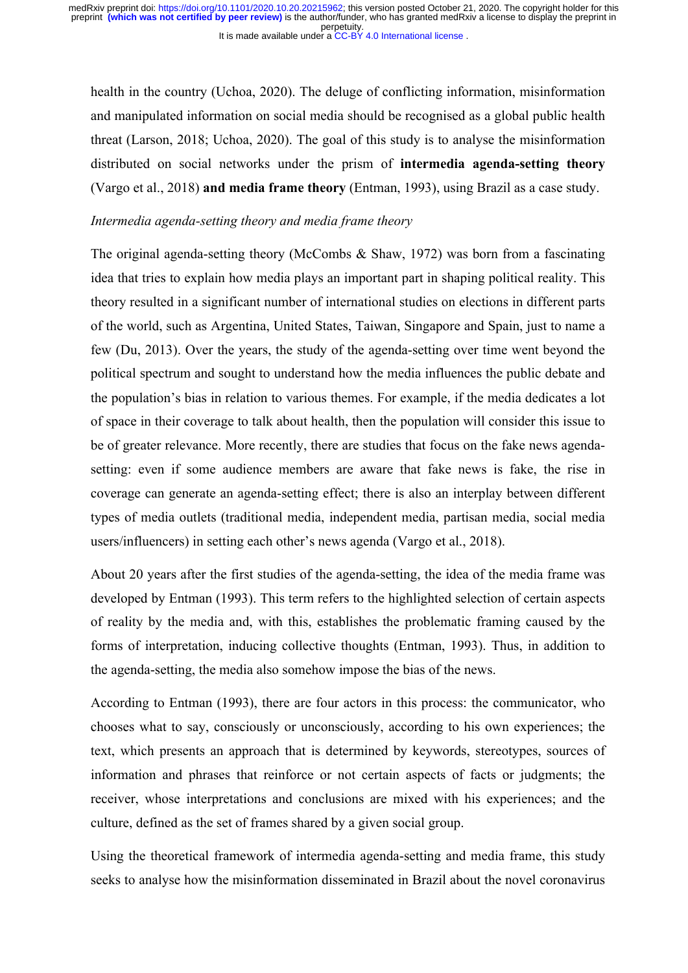health in the country (Uchoa, 2020). The deluge of conflicting information, misinformation and manipulated information on social media should be recognised as a global public health threat (Larson, 2018; Uchoa, 2020). The goal of this study is to analyse the misinformation distributed on social networks under the prism of **intermedia agenda-setting theory** (Vargo et al., 2018) **and media frame theory** (Entman, 1993), using Brazil as a case study.

# *Intermedia agenda-setting theory and media frame theory*

The original agenda-setting theory (McCombs & Shaw, 1972) was born from a fascinating idea that tries to explain how media plays an important part in shaping political reality. This theory resulted in a significant number of international studies on elections in different parts of the world, such as Argentina, United States, Taiwan, Singapore and Spain, just to name a few (Du, 2013). Over the years, the study of the agenda-setting over time went beyond the political spectrum and sought to understand how the media influences the public debate and the population's bias in relation to various themes. For example, if the media dedicates a lot of space in their coverage to talk about health, then the population will consider this issue to be of greater relevance. More recently, there are studies that focus on the fake news agendasetting: even if some audience members are aware that fake news is fake, the rise in coverage can generate an agenda-setting effect; there is also an interplay between different types of media outlets (traditional media, independent media, partisan media, social media users/influencers) in setting each other's news agenda (Vargo et al., 2018).

About 20 years after the first studies of the agenda-setting, the idea of the media frame was developed by Entman (1993). This term refers to the highlighted selection of certain aspects of reality by the media and, with this, establishes the problematic framing caused by the forms of interpretation, inducing collective thoughts (Entman, 1993). Thus, in addition to the agenda-setting, the media also somehow impose the bias of the news.

According to Entman (1993), there are four actors in this process: the communicator, who chooses what to say, consciously or unconsciously, according to his own experiences; the text, which presents an approach that is determined by keywords, stereotypes, sources of information and phrases that reinforce or not certain aspects of facts or judgments; the receiver, whose interpretations and conclusions are mixed with his experiences; and the culture, defined as the set of frames shared by a given social group.

Using the theoretical framework of intermedia agenda-setting and media frame, this study seeks to analyse how the misinformation disseminated in Brazil about the novel coronavirus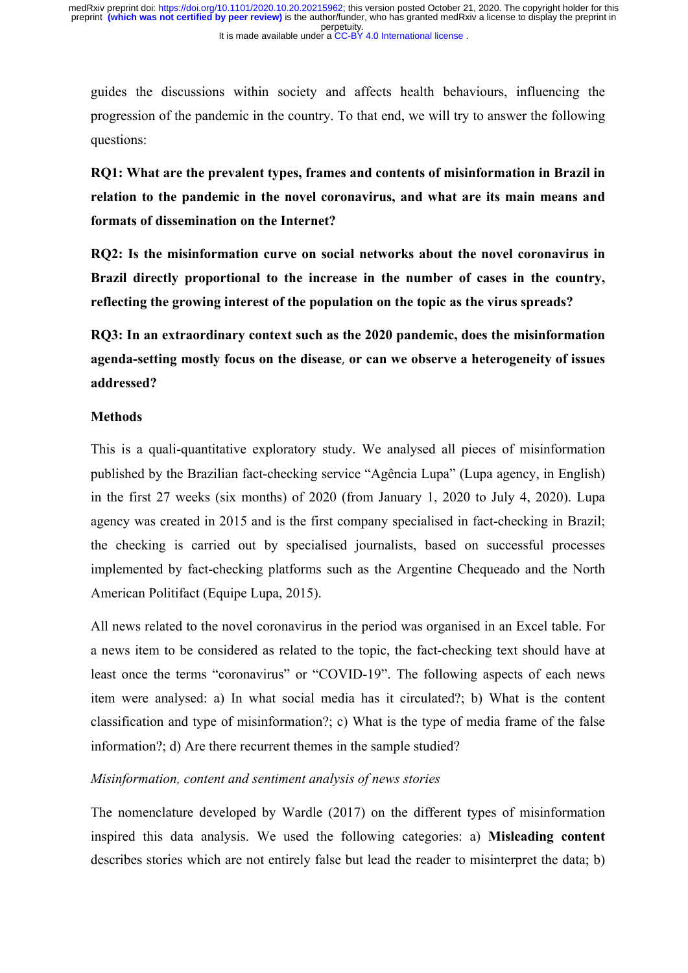guides the discussions within society and affects health behaviours, influencing the progression of the pandemic in the country. To that end, we will try to answer the following questions:

**RQ1: What are the prevalent types, frames and contents of misinformation in Brazil in relation to the pandemic in the novel coronavirus, and what are its main means and formats of dissemination on the Internet?**

**RQ2: Is the misinformation curve on social networks about the novel coronavirus in Brazil directly proportional to the increase in the number of cases in the country, reflecting the growing interest of the population on the topic as the virus spreads?**

**RQ3: In an extraordinary context such as the 2020 pandemic, does the misinformation agenda-setting mostly focus on the disease**, **or can we observe a heterogeneity of issues addressed?**

# **Methods**

This is a quali-quantitative exploratory study. We analysed all pieces of misinformation published by the Brazilian fact-checking service "Agência Lupa" (Lupa agency, in English) in the first 27 weeks (six months) of 2020 (from January 1, 2020 to July 4, 2020). Lupa agency was created in 2015 and is the first company specialised in fact-checking in Brazil; the checking is carried out by specialised journalists, based on successful processes implemented by fact-checking platforms such as the Argentine Chequeado and the North American Politifact (Equipe Lupa, 2015).

All news related to the novel coronavirus in the period was organised in an Excel table. For a news item to be considered as related to the topic, the fact-checking text should have at least once the terms "coronavirus" or "COVID-19". The following aspects of each news item were analysed: a) In what social media has it circulated?; b) What is the content classification and type of misinformation?; c) What is the type of media frame of the false information?; d) Are there recurrent themes in the sample studied?

# *Misinformation, content and sentiment analysis of news stories*

The nomenclature developed by Wardle (2017) on the different types of misinformation inspired this data analysis. We used the following categories: a) **Misleading content** describes stories which are not entirely false but lead the reader to misinterpret the data; b)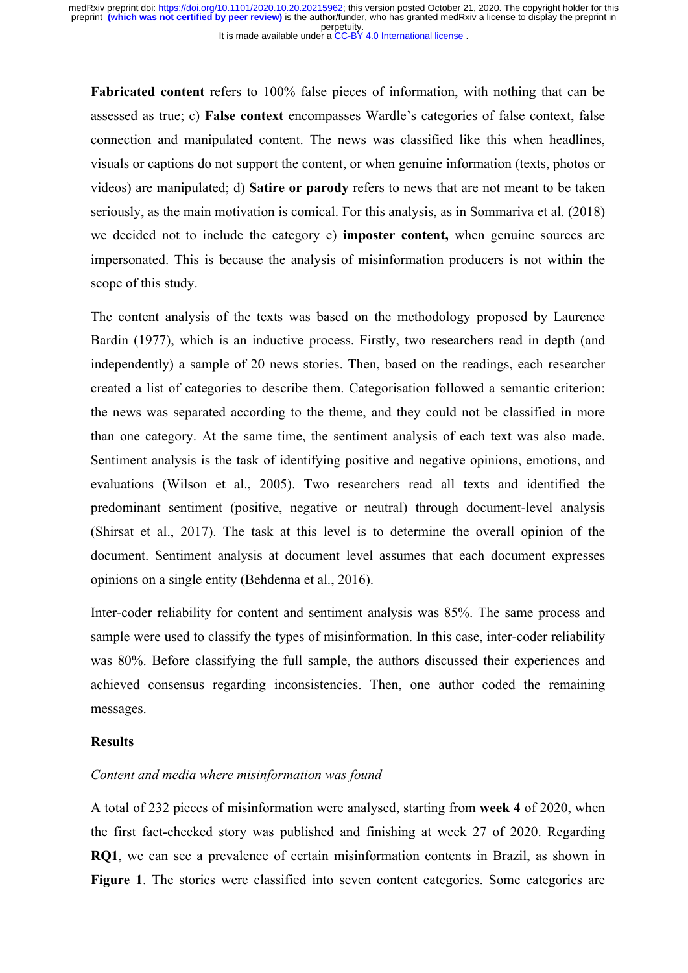**Fabricated content** refers to 100% false pieces of information, with nothing that can be assessed as true; c) **False context** encompasses Wardle's categories of false context, false connection and manipulated content. The news was classified like this when headlines, visuals or captions do not support the content, or when genuine information (texts, photos or videos) are manipulated; d) **Satire or parody** refers to news that are not meant to be taken seriously, as the main motivation is comical. For this analysis, as in Sommariva et al. (2018) we decided not to include the category e) **imposter content,** when genuine sources are impersonated. This is because the analysis of misinformation producers is not within the scope of this study.

The content analysis of the texts was based on the methodology proposed by Laurence Bardin (1977), which is an inductive process. Firstly, two researchers read in depth (and independently) a sample of 20 news stories. Then, based on the readings, each researcher created a list of categories to describe them. Categorisation followed a semantic criterion: the news was separated according to the theme, and they could not be classified in more than one category. At the same time, the sentiment analysis of each text was also made. Sentiment analysis is the task of identifying positive and negative opinions, emotions, and evaluations (Wilson et al., 2005). Two researchers read all texts and identified the predominant sentiment (positive, negative or neutral) through document-level analysis (Shirsat et al., 2017). The task at this level is to determine the overall opinion of the document. Sentiment analysis at document level assumes that each document expresses opinions on a single entity (Behdenna et al., 2016).

Inter-coder reliability for content and sentiment analysis was 85%. The same process and sample were used to classify the types of misinformation. In this case, inter-coder reliability was 80%. Before classifying the full sample, the authors discussed their experiences and achieved consensus regarding inconsistencies. Then, one author coded the remaining messages.

# **Results**

#### *Content and media where misinformation was found*

A total of 232 pieces of misinformation were analysed, starting from **week 4** of 2020, when the first fact-checked story was published and finishing at week 27 of 2020. Regarding **RQ1**, we can see a prevalence of certain misinformation contents in Brazil, as shown in **Figure 1**. The stories were classified into seven content categories. Some categories are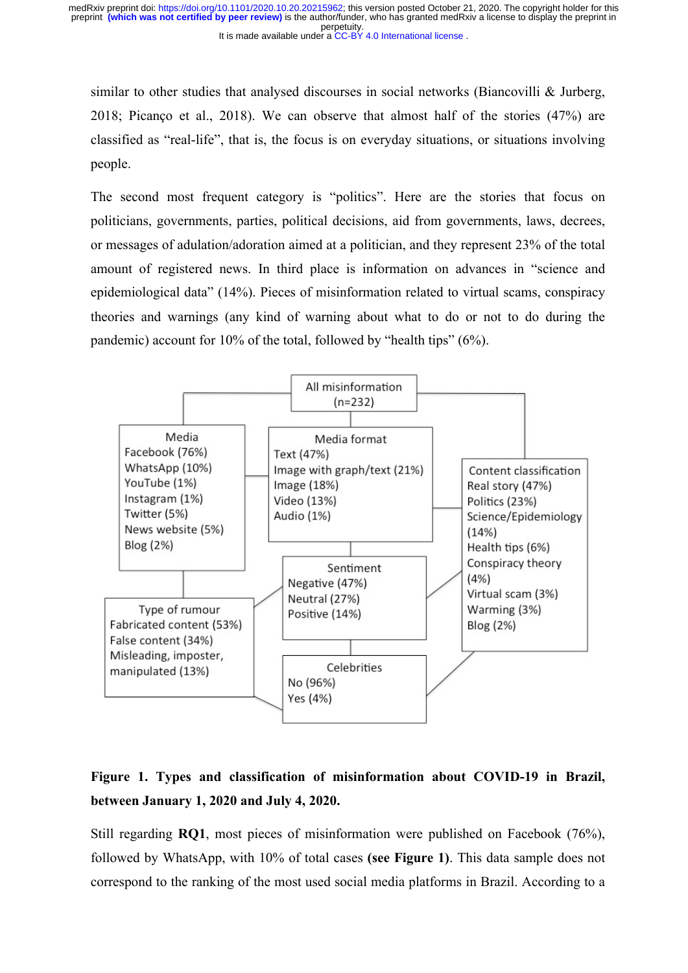similar to other studies that analysed discourses in social networks (Biancovilli  $\&$  Jurberg, 2018; Picanço et al., 2018). We can observe that almost half of the stories (47%) are classified as "real-life", that is, the focus is on everyday situations, or situations involving people.

The second most frequent category is "politics". Here are the stories that focus on politicians, governments, parties, political decisions, aid from governments, laws, decrees, or messages of adulation/adoration aimed at a politician, and they represent 23% of the total amount of registered news. In third place is information on advances in "science and epidemiological data" (14%). Pieces of misinformation related to virtual scams, conspiracy theories and warnings (any kind of warning about what to do or not to do during the pandemic) account for 10% of the total, followed by "health tips" (6%).



# **Figure 1. Types and classification of misinformation about COVID-19 in Brazil, between January 1, 2020 and July 4, 2020.**

Still regarding **RQ1**, most pieces of misinformation were published on Facebook (76%), followed by WhatsApp, with 10% of total cases **(see Figure 1)**. This data sample does not correspond to the ranking of the most used social media platforms in Brazil. According to a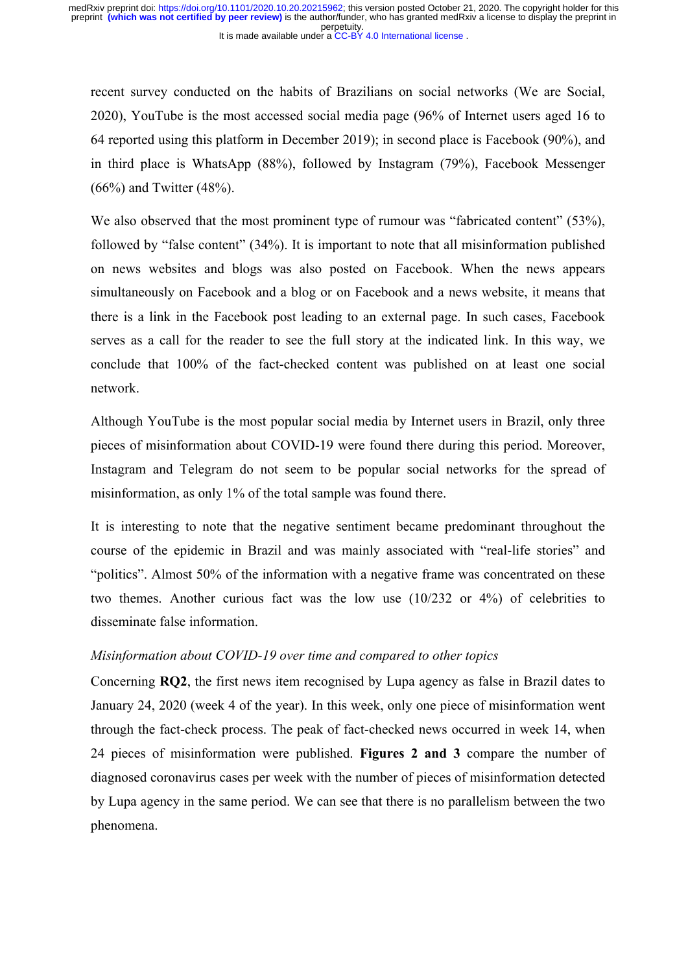recent survey conducted on the habits of Brazilians on social networks (We are Social, 2020), YouTube is the most accessed social media page (96% of Internet users aged 16 to 64 reported using this platform in December 2019); in second place is Facebook (90%), and in third place is WhatsApp (88%), followed by Instagram (79%), Facebook Messenger (66%) and Twitter (48%).

We also observed that the most prominent type of rumour was "fabricated content" (53%), followed by "false content" (34%). It is important to note that all misinformation published on news websites and blogs was also posted on Facebook. When the news appears simultaneously on Facebook and a blog or on Facebook and a news website, it means that there is a link in the Facebook post leading to an external page. In such cases, Facebook serves as a call for the reader to see the full story at the indicated link. In this way, we conclude that 100% of the fact-checked content was published on at least one social network.

Although YouTube is the most popular social media by Internet users in Brazil, only three pieces of misinformation about COVID-19 were found there during this period. Moreover, Instagram and Telegram do not seem to be popular social networks for the spread of misinformation, as only 1% of the total sample was found there.

It is interesting to note that the negative sentiment became predominant throughout the course of the epidemic in Brazil and was mainly associated with "real-life stories" and "politics". Almost 50% of the information with a negative frame was concentrated on these two themes. Another curious fact was the low use (10/232 or 4%) of celebrities to disseminate false information.

#### *Misinformation about COVID-19 over time and compared to other topics*

Concerning **RQ2**, the first news item recognised by Lupa agency as false in Brazil dates to January 24, 2020 (week 4 of the year). In this week, only one piece of misinformation went through the fact-check process. The peak of fact-checked news occurred in week 14, when 24 pieces of misinformation were published. **Figures 2 and 3** compare the number of diagnosed coronavirus cases per week with the number of pieces of misinformation detected by Lupa agency in the same period. We can see that there is no parallelism between the two phenomena.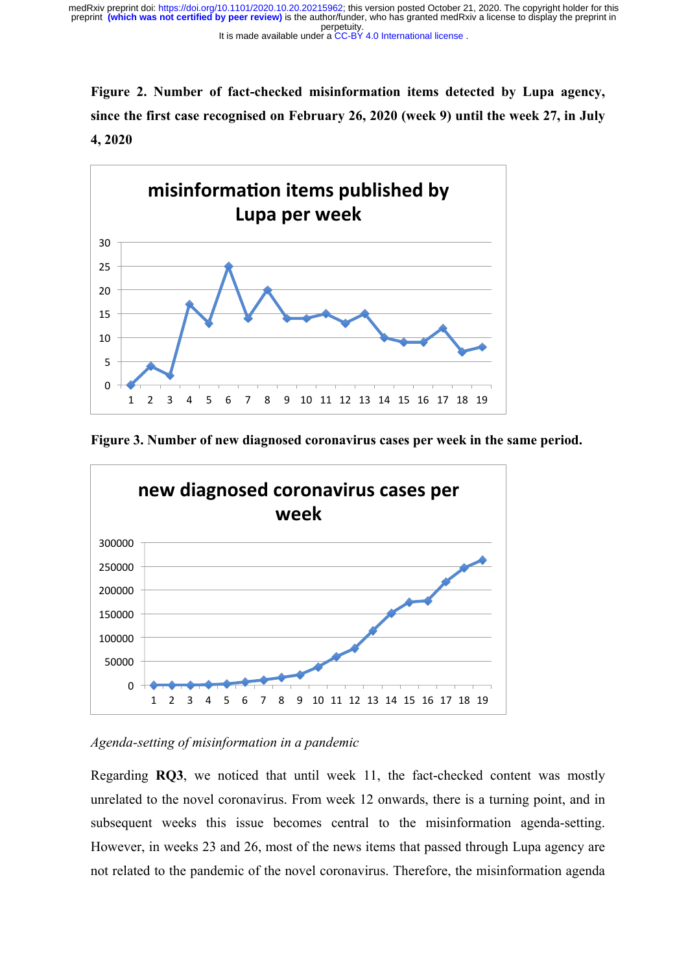perpetuity. preprint **(which was not certified by peer review)** is the author/funder, who has granted medRxiv a license to display the preprint in medRxiv preprint doi: [https://doi.org/10.1101/2020.10.20.20215962;](https://doi.org/10.1101/2020.10.20.20215962) this version posted October 21, 2020. The copyright holder for this

It is made available under a [CC-BY 4.0 International license](http://creativecommons.org/licenses/by/4.0/) .

**Figure 2. Number of fact-checked misinformation items detected by Lupa agency, since the first case recognised on February 26, 2020 (week 9) until the week 27, in July 4, 2020**



**Figure 3. Number of new diagnosed coronavirus cases per week in the same period.**



*Agenda-setting of misinformation in a pandemic*

Regarding **RQ3**, we noticed that until week 11, the fact-checked content was mostly unrelated to the novel coronavirus. From week 12 onwards, there is a turning point, and in subsequent weeks this issue becomes central to the misinformation agenda-setting. However, in weeks 23 and 26, most of the news items that passed through Lupa agency are not related to the pandemic of the novel coronavirus. Therefore, the misinformation agenda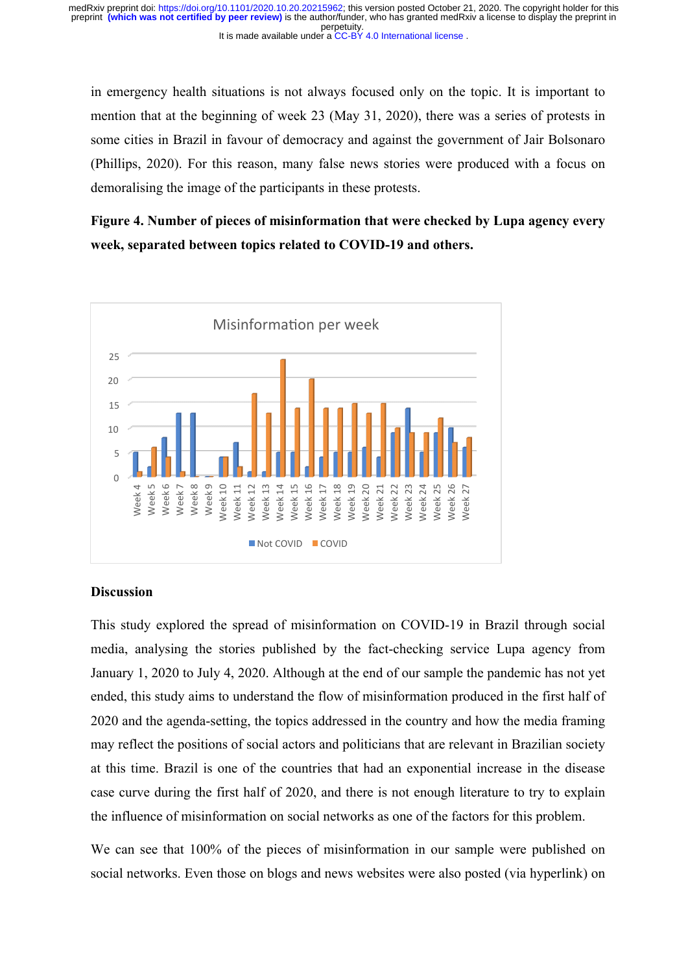in emergency health situations is not always focused only on the topic. It is important to mention that at the beginning of week 23 (May 31, 2020), there was a series of protests in some cities in Brazil in favour of democracy and against the government of Jair Bolsonaro (Phillips, 2020). For this reason, many false news stories were produced with a focus on demoralising the image of the participants in these protests.

**Figure 4. Number of pieces of misinformation that were checked by Lupa agency every week, separated between topics related to COVID-19 and others.**



#### **Discussion**

This study explored the spread of misinformation on COVID-19 in Brazil through social media, analysing the stories published by the fact-checking service Lupa agency from January 1, 2020 to July 4, 2020. Although at the end of our sample the pandemic has not yet ended, this study aims to understand the flow of misinformation produced in the first half of 2020 and the agenda-setting, the topics addressed in the country and how the media framing may reflect the positions of social actors and politicians that are relevant in Brazilian society at this time. Brazil is one of the countries that had an exponential increase in the disease case curve during the first half of 2020, and there is not enough literature to try to explain the influence of misinformation on social networks as one of the factors for this problem.

We can see that 100% of the pieces of misinformation in our sample were published on social networks. Even those on blogs and news websites were also posted (via hyperlink) on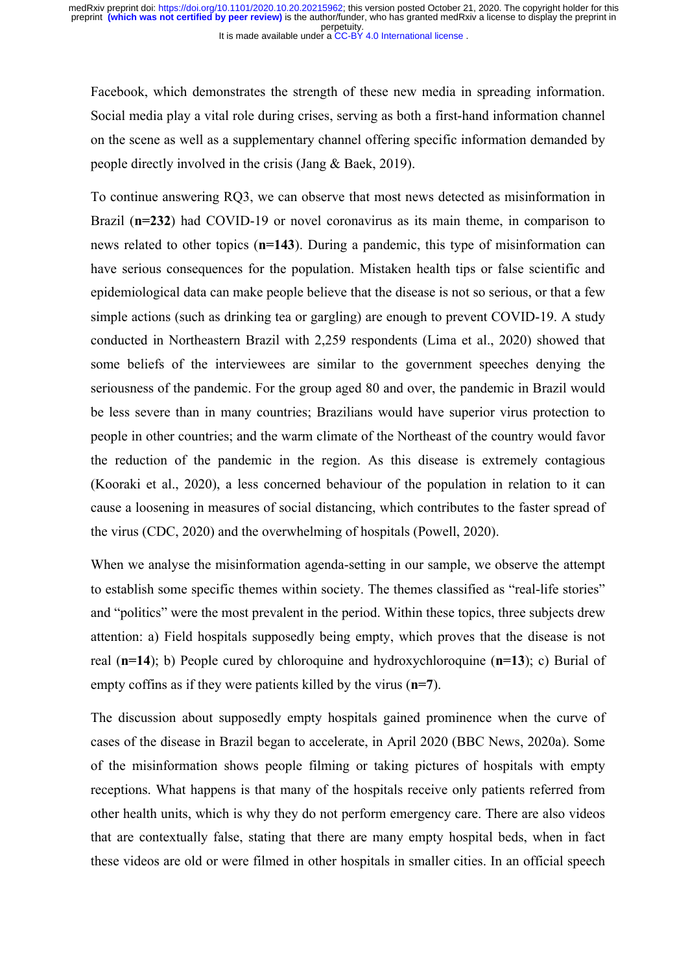Facebook, which demonstrates the strength of these new media in spreading information. Social media play a vital role during crises, serving as both a first-hand information channel on the scene as well as a supplementary channel offering specific information demanded by people directly involved in the crisis (Jang & Baek, 2019).

To continue answering RQ3, we can observe that most news detected as misinformation in Brazil (**n=232**) had COVID-19 or novel coronavirus as its main theme, in comparison to news related to other topics (**n=143**). During a pandemic, this type of misinformation can have serious consequences for the population. Mistaken health tips or false scientific and epidemiological data can make people believe that the disease is not so serious, or that a few simple actions (such as drinking tea or gargling) are enough to prevent COVID-19. A study conducted in Northeastern Brazil with 2,259 respondents (Lima et al., 2020) showed that some beliefs of the interviewees are similar to the government speeches denying the seriousness of the pandemic. For the group aged 80 and over, the pandemic in Brazil would be less severe than in many countries; Brazilians would have superior virus protection to people in other countries; and the warm climate of the Northeast of the country would favor the reduction of the pandemic in the region. As this disease is extremely contagious (Kooraki et al., 2020), a less concerned behaviour of the population in relation to it can cause a loosening in measures of social distancing, which contributes to the faster spread of the virus (CDC, 2020) and the overwhelming of hospitals (Powell, 2020).

When we analyse the misinformation agenda-setting in our sample, we observe the attempt to establish some specific themes within society. The themes classified as "real-life stories" and "politics" were the most prevalent in the period. Within these topics, three subjects drew attention: a) Field hospitals supposedly being empty, which proves that the disease is not real (**n=14**); b) People cured by chloroquine and hydroxychloroquine (**n=13**); c) Burial of empty coffins as if they were patients killed by the virus (**n=7**).

The discussion about supposedly empty hospitals gained prominence when the curve of cases of the disease in Brazil began to accelerate, in April 2020 (BBC News, 2020a). Some of the misinformation shows people filming or taking pictures of hospitals with empty receptions. What happens is that many of the hospitals receive only patients referred from other health units, which is why they do not perform emergency care. There are also videos that are contextually false, stating that there are many empty hospital beds, when in fact these videos are old or were filmed in other hospitals in smaller cities. In an official speech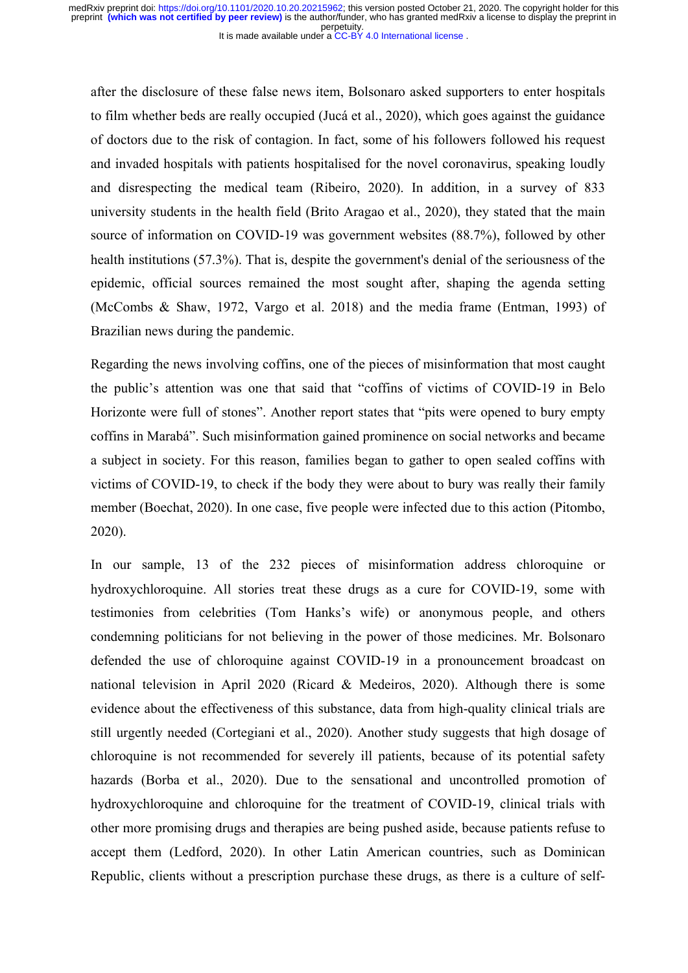after the disclosure of these false news item, Bolsonaro asked supporters to enter hospitals to film whether beds are really occupied (Jucá et al., 2020), which goes against the guidance of doctors due to the risk of contagion. In fact, some of his followers followed his request and invaded hospitals with patients hospitalised for the novel coronavirus, speaking loudly and disrespecting the medical team (Ribeiro, 2020). In addition, in a survey of 833 university students in the health field (Brito Aragao et al., 2020), they stated that the main source of information on COVID-19 was government websites (88.7%), followed by other health institutions (57.3%). That is, despite the government's denial of the seriousness of the epidemic, official sources remained the most sought after, shaping the agenda setting (McCombs & Shaw, 1972, Vargo et al. 2018) and the media frame (Entman, 1993) of Brazilian news during the pandemic.

Regarding the news involving coffins, one of the pieces of misinformation that most caught the public's attention was one that said that "coffins of victims of COVID-19 in Belo Horizonte were full of stones". Another report states that "pits were opened to bury empty coffins in Marabá". Such misinformation gained prominence on social networks and became a subject in society. For this reason, families began to gather to open sealed coffins with victims of COVID-19, to check if the body they were about to bury was really their family member (Boechat, 2020). In one case, five people were infected due to this action (Pitombo, 2020).

In our sample, 13 of the 232 pieces of misinformation address chloroquine or hydroxychloroquine. All stories treat these drugs as a cure for COVID-19, some with testimonies from celebrities (Tom Hanks's wife) or anonymous people, and others condemning politicians for not believing in the power of those medicines. Mr. Bolsonaro defended the use of chloroquine against COVID-19 in a pronouncement broadcast on national television in April 2020 (Ricard & Medeiros, 2020). Although there is some evidence about the effectiveness of this substance, data from high-quality clinical trials are still urgently needed (Cortegiani et al., 2020). Another study suggests that high dosage of chloroquine is not recommended for severely ill patients, because of its potential safety hazards (Borba et al., 2020). Due to the sensational and uncontrolled promotion of hydroxychloroquine and chloroquine for the treatment of COVID-19, clinical trials with other more promising drugs and therapies are being pushed aside, because patients refuse to accept them (Ledford, 2020). In other Latin American countries, such as Dominican Republic, clients without a prescription purchase these drugs, as there is a culture of self-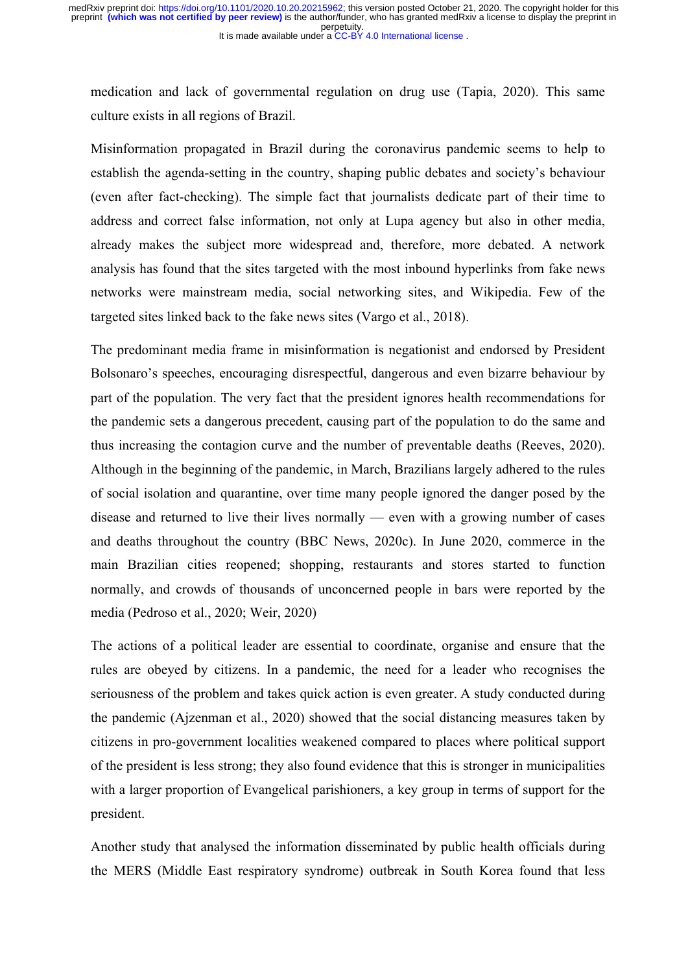medication and lack of governmental regulation on drug use (Tapia, 2020). This same culture exists in all regions of Brazil.

Misinformation propagated in Brazil during the coronavirus pandemic seems to help to establish the agenda-setting in the country, shaping public debates and society's behaviour (even after fact-checking). The simple fact that journalists dedicate part of their time to address and correct false information, not only at Lupa agency but also in other media, already makes the subject more widespread and, therefore, more debated. A network analysis has found that the sites targeted with the most inbound hyperlinks from fake news networks were mainstream media, social networking sites, and Wikipedia. Few of the targeted sites linked back to the fake news sites (Vargo et al., 2018).

The predominant media frame in misinformation is negationist and endorsed by President Bolsonaro's speeches, encouraging disrespectful, dangerous and even bizarre behaviour by part of the population. The very fact that the president ignores health recommendations for the pandemic sets a dangerous precedent, causing part of the population to do the same and thus increasing the contagion curve and the number of preventable deaths (Reeves, 2020). Although in the beginning of the pandemic, in March, Brazilians largely adhered to the rules of social isolation and quarantine, over time many people ignored the danger posed by the disease and returned to live their lives normally — even with a growing number of cases and deaths throughout the country (BBC News, 2020c). In June 2020, commerce in the main Brazilian cities reopened; shopping, restaurants and stores started to function normally, and crowds of thousands of unconcerned people in bars were reported by the media (Pedroso et al., 2020; Weir, 2020)

The actions of a political leader are essential to coordinate, organise and ensure that the rules are obeyed by citizens. In a pandemic, the need for a leader who recognises the seriousness of the problem and takes quick action is even greater. A study conducted during the pandemic (Ajzenman et al., 2020) showed that the social distancing measures taken by citizens in pro-government localities weakened compared to places where political support of the president is less strong; they also found evidence that this is stronger in municipalities with a larger proportion of Evangelical parishioners, a key group in terms of support for the president.

Another study that analysed the information disseminated by public health officials during the MERS (Middle East respiratory syndrome) outbreak in South Korea found that less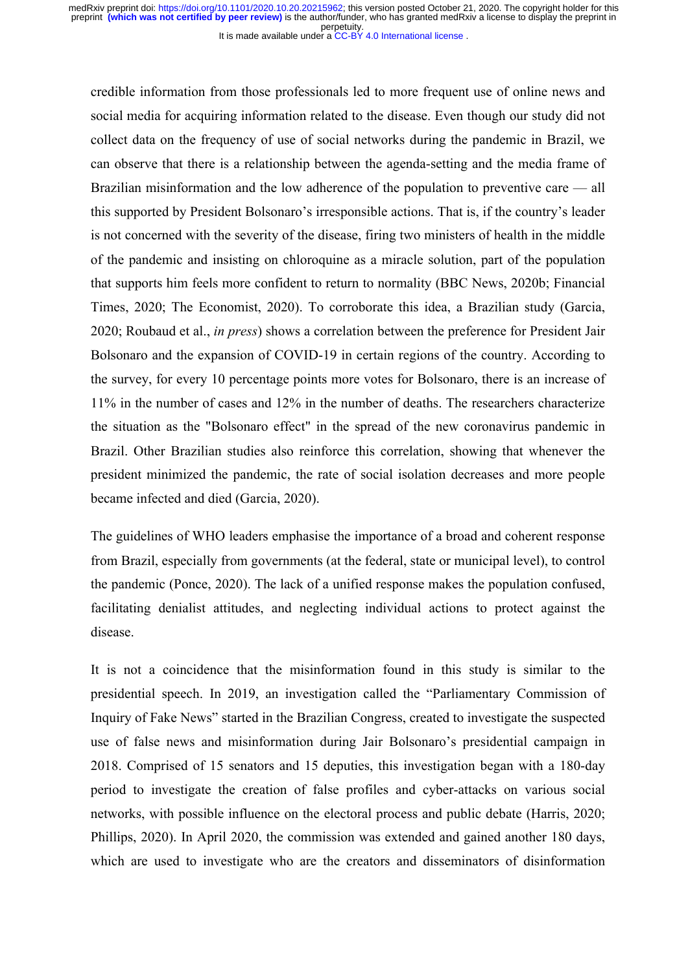credible information from those professionals led to more frequent use of online news and social media for acquiring information related to the disease. Even though our study did not collect data on the frequency of use of social networks during the pandemic in Brazil, we can observe that there is a relationship between the agenda-setting and the media frame of Brazilian misinformation and the low adherence of the population to preventive care — all this supported by President Bolsonaro's irresponsible actions. That is, if the country's leader is not concerned with the severity of the disease, firing two ministers of health in the middle of the pandemic and insisting on chloroquine as a miracle solution, part of the population that supports him feels more confident to return to normality (BBC News, 2020b; Financial Times, 2020; The Economist, 2020). To corroborate this idea, a Brazilian study (Garcia, 2020; Roubaud et al., *in press*) shows a correlation between the preference for President Jair Bolsonaro and the expansion of COVID-19 in certain regions of the country. According to the survey, for every 10 percentage points more votes for Bolsonaro, there is an increase of 11% in the number of cases and 12% in the number of deaths. The researchers characterize the situation as the "Bolsonaro effect" in the spread of the new coronavirus pandemic in Brazil. Other Brazilian studies also reinforce this correlation, showing that whenever the president minimized the pandemic, the rate of social isolation decreases and more people became infected and died (Garcia, 2020).

The guidelines of WHO leaders emphasise the importance of a broad and coherent response from Brazil, especially from governments (at the federal, state or municipal level), to control the pandemic (Ponce, 2020). The lack of a unified response makes the population confused, facilitating denialist attitudes, and neglecting individual actions to protect against the disease.

It is not a coincidence that the misinformation found in this study is similar to the presidential speech. In 2019, an investigation called the "Parliamentary Commission of Inquiry of Fake News" started in the Brazilian Congress, created to investigate the suspected use of false news and misinformation during Jair Bolsonaro's presidential campaign in 2018. Comprised of 15 senators and 15 deputies, this investigation began with a 180-day period to investigate the creation of false profiles and cyber-attacks on various social networks, with possible influence on the electoral process and public debate (Harris, 2020; Phillips, 2020). In April 2020, the commission was extended and gained another 180 days, which are used to investigate who are the creators and disseminators of disinformation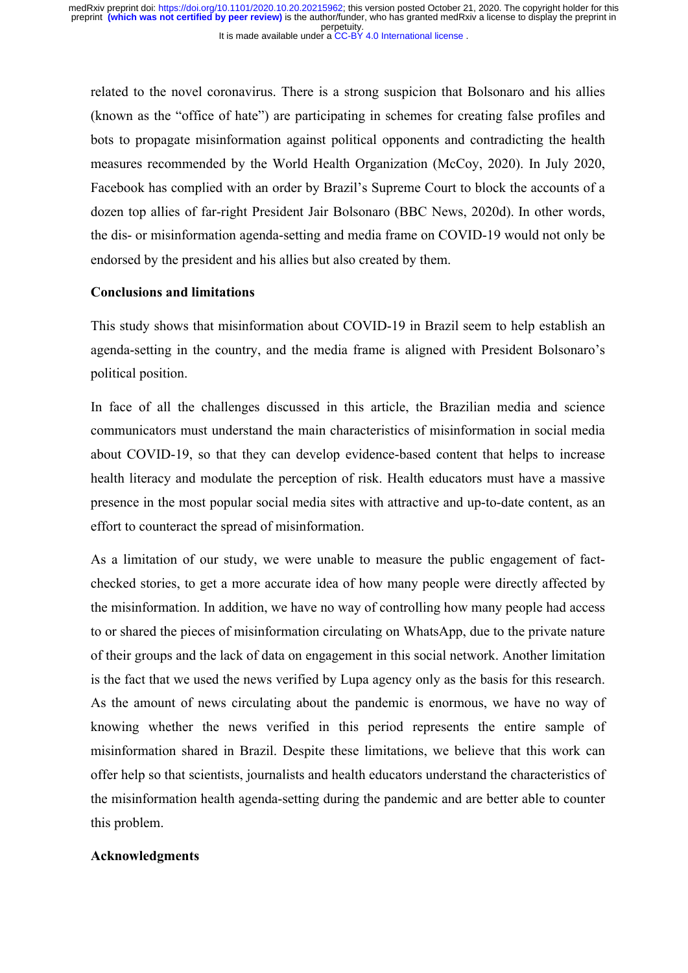related to the novel coronavirus. There is a strong suspicion that Bolsonaro and his allies (known as the "office of hate") are participating in schemes for creating false profiles and bots to propagate misinformation against political opponents and contradicting the health measures recommended by the World Health Organization (McCoy, 2020). In July 2020, Facebook has complied with an order by Brazil's Supreme Court to block the accounts of a dozen top allies of far-right President Jair Bolsonaro (BBC News, 2020d). In other words, the dis- or misinformation agenda-setting and media frame on COVID-19 would not only be endorsed by the president and his allies but also created by them.

# **Conclusions and limitations**

This study shows that misinformation about COVID-19 in Brazil seem to help establish an agenda-setting in the country, and the media frame is aligned with President Bolsonaro's political position.

In face of all the challenges discussed in this article, the Brazilian media and science communicators must understand the main characteristics of misinformation in social media about COVID-19, so that they can develop evidence-based content that helps to increase health literacy and modulate the perception of risk. Health educators must have a massive presence in the most popular social media sites with attractive and up-to-date content, as an effort to counteract the spread of misinformation.

As a limitation of our study, we were unable to measure the public engagement of factchecked stories, to get a more accurate idea of how many people were directly affected by the misinformation. In addition, we have no way of controlling how many people had access to or shared the pieces of misinformation circulating on WhatsApp, due to the private nature of their groups and the lack of data on engagement in this social network. Another limitation is the fact that we used the news verified by Lupa agency only as the basis for this research. As the amount of news circulating about the pandemic is enormous, we have no way of knowing whether the news verified in this period represents the entire sample of misinformation shared in Brazil. Despite these limitations, we believe that this work can offer help so that scientists, journalists and health educators understand the characteristics of the misinformation health agenda-setting during the pandemic and are better able to counter this problem.

#### **Acknowledgments**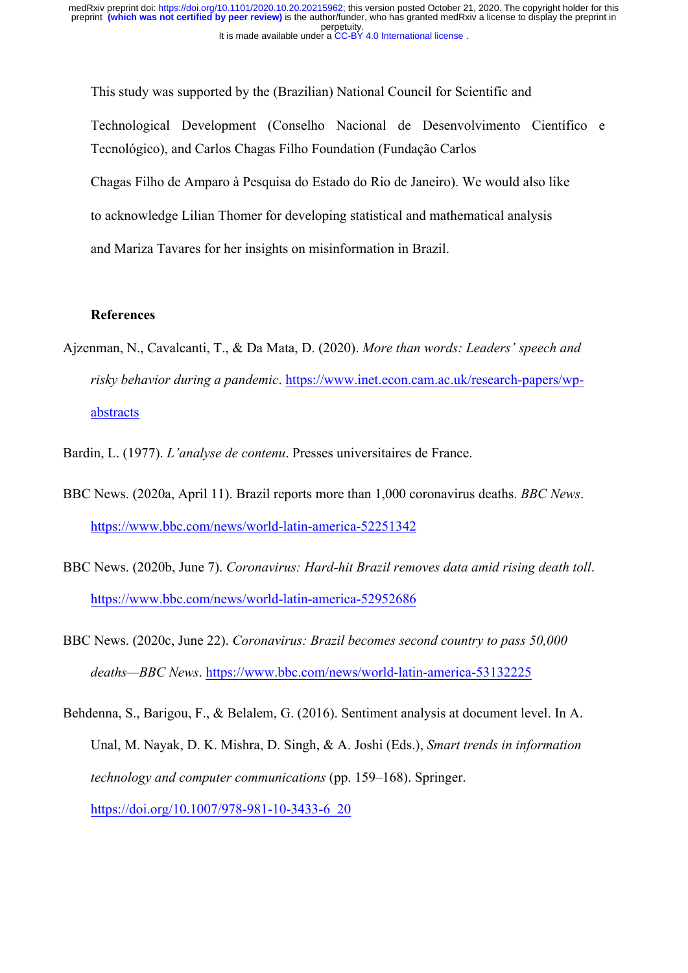This study was supported by the (Brazilian) National Council for Scientific and Technological Development (Conselho Nacional de Desenvolvimento Científico e Tecnológico), and Carlos Chagas Filho Foundation (Fundação Carlos Chagas Filho de Amparo à Pesquisa do Estado do Rio de Janeiro). We would also like to acknowledge Lilian Thomer for developing statistical and mathematical analysis and Mariza Tavares for her insights on misinformation in Brazil.

# **References**

- Ajzenman, N., Cavalcanti, T., & Da Mata, D. (2020). *More than words: Leaders' speech and risky behavior during a pandemic*. https://www.inet.econ.cam.ac.uk/research-papers/wpabstracts
- Bardin, L. (1977). *L'analyse de contenu*. Presses universitaires de France.
- BBC News. (2020a, April 11). Brazil reports more than 1,000 coronavirus deaths. *BBC News*. https://www.bbc.com/news/world-latin-america-52251342
- BBC News. (2020b, June 7). *Coronavirus: Hard-hit Brazil removes data amid rising death toll*. https://www.bbc.com/news/world-latin-america-52952686
- BBC News. (2020c, June 22). *Coronavirus: Brazil becomes second country to pass 50,000 deaths—BBC News*. https://www.bbc.com/news/world-latin-america-53132225
- Behdenna, S., Barigou, F., & Belalem, G. (2016). Sentiment analysis at document level. In A. Unal, M. Nayak, D. K. Mishra, D. Singh, & A. Joshi (Eds.), *Smart trends in information technology and computer communications* (pp. 159–168). Springer. https://doi.org/10.1007/978-981-10-3433-6\_20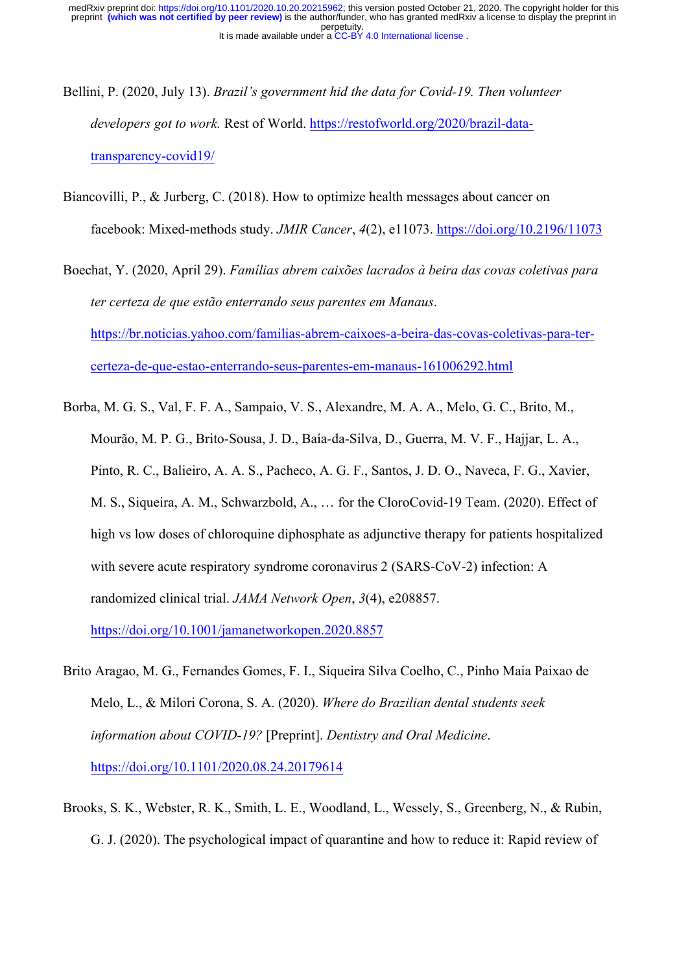- Bellini, P. (2020, July 13). *Brazil's government hid the data for Covid-19. Then volunteer developers got to work.* Rest of World. https://restofworld.org/2020/brazil-datatransparency-covid19/
- Biancovilli, P., & Jurberg, C. (2018). How to optimize health messages about cancer on facebook: Mixed-methods study. *JMIR Cancer*, *4*(2), e11073. https://doi.org/10.2196/11073

Boechat, Y. (2020, April 29). *Famílias abrem caixões lacrados à beira das covas coletivas para ter certeza de que estão enterrando seus parentes em Manaus*. https://br.noticias.yahoo.com/familias-abrem-caixoes-a-beira-das-covas-coletivas-para-tercerteza-de-que-estao-enterrando-seus-parentes-em-manaus-161006292.html

Borba, M. G. S., Val, F. F. A., Sampaio, V. S., Alexandre, M. A. A., Melo, G. C., Brito, M., Mourão, M. P. G., Brito-Sousa, J. D., Baía-da-Silva, D., Guerra, M. V. F., Hajjar, L. A., Pinto, R. C., Balieiro, A. A. S., Pacheco, A. G. F., Santos, J. D. O., Naveca, F. G., Xavier, M. S., Siqueira, A. M., Schwarzbold, A., … for the CloroCovid-19 Team. (2020). Effect of high vs low doses of chloroquine diphosphate as adjunctive therapy for patients hospitalized with severe acute respiratory syndrome coronavirus 2 (SARS-CoV-2) infection: A randomized clinical trial. *JAMA Network Open*, *3*(4), e208857.

https://doi.org/10.1001/jamanetworkopen.2020.8857

- Brito Aragao, M. G., Fernandes Gomes, F. I., Siqueira Silva Coelho, C., Pinho Maia Paixao de Melo, L., & Milori Corona, S. A. (2020). *Where do Brazilian dental students seek information about COVID-19?* [Preprint]. *Dentistry and Oral Medicine*. https://doi.org/10.1101/2020.08.24.20179614
- Brooks, S. K., Webster, R. K., Smith, L. E., Woodland, L., Wessely, S., Greenberg, N., & Rubin, G. J. (2020). The psychological impact of quarantine and how to reduce it: Rapid review of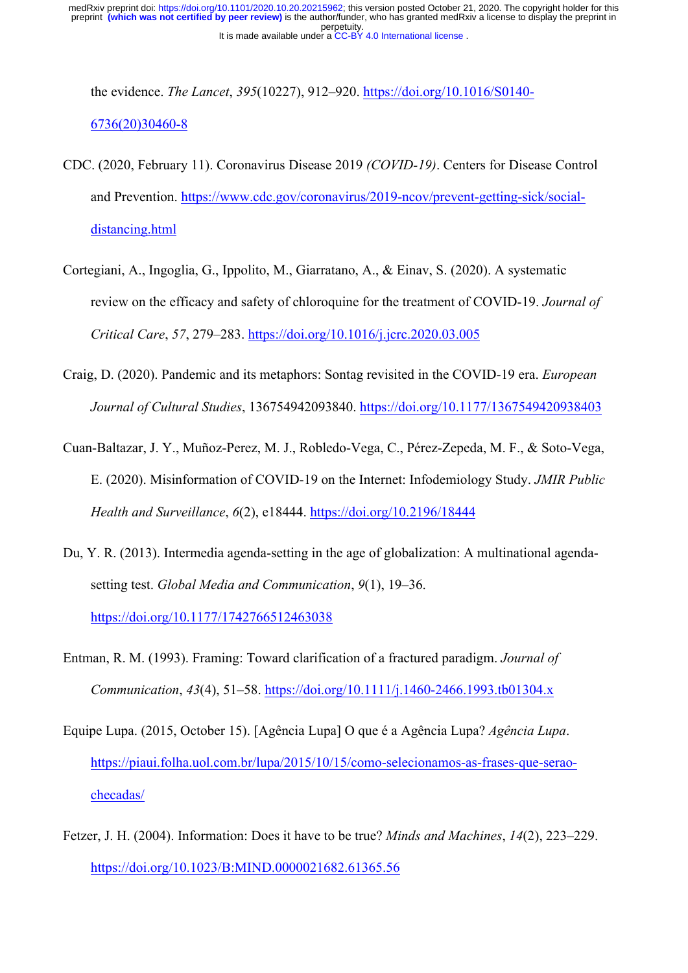the evidence. *The Lancet*, *395*(10227), 912–920. https://doi.org/10.1016/S0140- 6736(20)30460-8

- CDC. (2020, February 11). Coronavirus Disease 2019 *(COVID-19)*. Centers for Disease Control and Prevention. https://www.cdc.gov/coronavirus/2019-ncov/prevent-getting-sick/socialdistancing.html
- Cortegiani, A., Ingoglia, G., Ippolito, M., Giarratano, A., & Einav, S. (2020). A systematic review on the efficacy and safety of chloroquine for the treatment of COVID-19. *Journal of Critical Care*, *57*, 279–283. https://doi.org/10.1016/j.jcrc.2020.03.005
- Craig, D. (2020). Pandemic and its metaphors: Sontag revisited in the COVID-19 era. *European Journal of Cultural Studies*, 136754942093840. https://doi.org/10.1177/1367549420938403
- Cuan-Baltazar, J. Y., Muñoz-Perez, M. J., Robledo-Vega, C., Pérez-Zepeda, M. F., & Soto-Vega, E. (2020). Misinformation of COVID-19 on the Internet: Infodemiology Study. *JMIR Public Health and Surveillance*, *6*(2), e18444. https://doi.org/10.2196/18444
- Du, Y. R. (2013). Intermedia agenda-setting in the age of globalization: A multinational agendasetting test. *Global Media and Communication*, *9*(1), 19–36. https://doi.org/10.1177/1742766512463038
- Entman, R. M. (1993). Framing: Toward clarification of a fractured paradigm. *Journal of Communication*, *43*(4), 51–58. https://doi.org/10.1111/j.1460-2466.1993.tb01304.x
- Equipe Lupa. (2015, October 15). [Agência Lupa] O que é a Agência Lupa? *Agência Lupa*. https://piaui.folha.uol.com.br/lupa/2015/10/15/como-selecionamos-as-frases-que-seraochecadas/
- Fetzer, J. H. (2004). Information: Does it have to be true? *Minds and Machines*, *14*(2), 223–229. https://doi.org/10.1023/B:MIND.0000021682.61365.56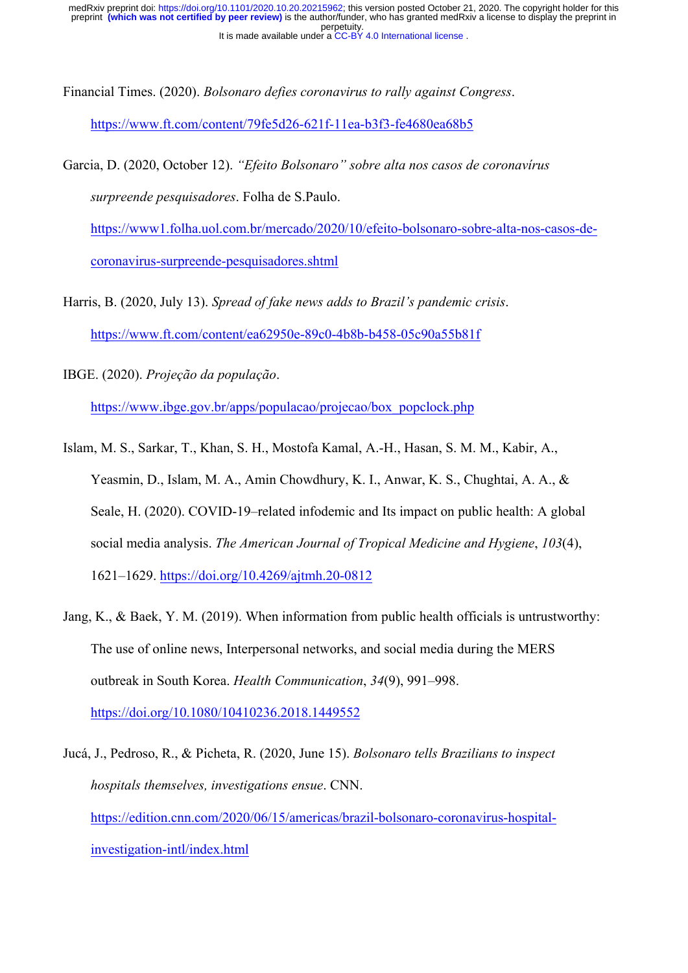Financial Times. (2020). *Bolsonaro defies coronavirus to rally against Congress*.

https://www.ft.com/content/79fe5d26-621f-11ea-b3f3-fe4680ea68b5

Garcia, D. (2020, October 12). *"Efeito Bolsonaro" sobre alta nos casos de coronavírus surpreende pesquisadores*. Folha de S.Paulo.

https://www1.folha.uol.com.br/mercado/2020/10/efeito-bolsonaro-sobre-alta-nos-casos-decoronavirus-surpreende-pesquisadores.shtml

Harris, B. (2020, July 13). *Spread of fake news adds to Brazil's pandemic crisis*. https://www.ft.com/content/ea62950e-89c0-4b8b-b458-05c90a55b81f

- IBGE. (2020). *Projeção da população*. https://www.ibge.gov.br/apps/populacao/projecao/box\_popclock.php
- Islam, M. S., Sarkar, T., Khan, S. H., Mostofa Kamal, A.-H., Hasan, S. M. M., Kabir, A., Yeasmin, D., Islam, M. A., Amin Chowdhury, K. I., Anwar, K. S., Chughtai, A. A., & Seale, H. (2020). COVID-19–related infodemic and Its impact on public health: A global social media analysis. *The American Journal of Tropical Medicine and Hygiene*, *103*(4), 1621–1629. https://doi.org/10.4269/ajtmh.20-0812
- Jang, K., & Baek, Y. M. (2019). When information from public health officials is untrustworthy: The use of online news, Interpersonal networks, and social media during the MERS outbreak in South Korea. *Health Communication*, *34*(9), 991–998. https://doi.org/10.1080/10410236.2018.1449552

Jucá, J., Pedroso, R., & Picheta, R. (2020, June 15). *Bolsonaro tells Brazilians to inspect hospitals themselves, investigations ensue*. CNN. https://edition.cnn.com/2020/06/15/americas/brazil-bolsonaro-coronavirus-hospitalinvestigation-intl/index.html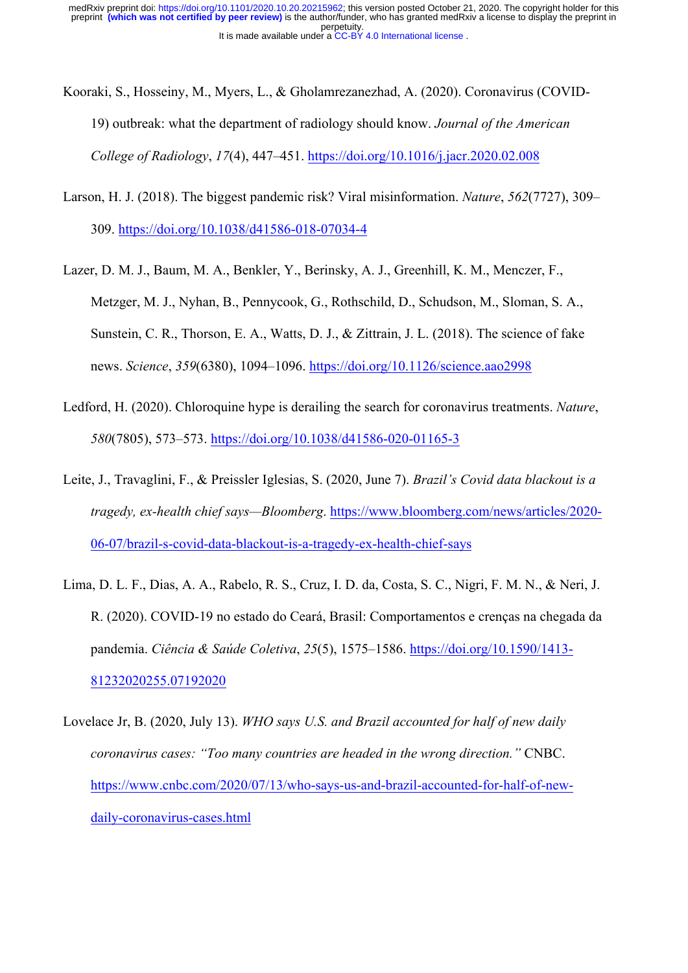- Kooraki, S., Hosseiny, M., Myers, L., & Gholamrezanezhad, A. (2020). Coronavirus (COVID-19) outbreak: what the department of radiology should know. *Journal of the American College of Radiology*, *17*(4), 447–451. https://doi.org/10.1016/j.jacr.2020.02.008
- Larson, H. J. (2018). The biggest pandemic risk? Viral misinformation. *Nature*, *562*(7727), 309– 309. https://doi.org/10.1038/d41586-018-07034-4
- Lazer, D. M. J., Baum, M. A., Benkler, Y., Berinsky, A. J., Greenhill, K. M., Menczer, F., Metzger, M. J., Nyhan, B., Pennycook, G., Rothschild, D., Schudson, M., Sloman, S. A., Sunstein, C. R., Thorson, E. A., Watts, D. J., & Zittrain, J. L. (2018). The science of fake news. *Science*, *359*(6380), 1094–1096. https://doi.org/10.1126/science.aao2998
- Ledford, H. (2020). Chloroquine hype is derailing the search for coronavirus treatments. *Nature*, *580*(7805), 573–573. https://doi.org/10.1038/d41586-020-01165-3
- Leite, J., Travaglini, F., & Preissler Iglesias, S. (2020, June 7). *Brazil's Covid data blackout is a tragedy, ex-health chief says—Bloomberg*. https://www.bloomberg.com/news/articles/2020- 06-07/brazil-s-covid-data-blackout-is-a-tragedy-ex-health-chief-says
- Lima, D. L. F., Dias, A. A., Rabelo, R. S., Cruz, I. D. da, Costa, S. C., Nigri, F. M. N., & Neri, J. R. (2020). COVID-19 no estado do Ceará, Brasil: Comportamentos e crenças na chegada da pandemia. *Ciência & Saúde Coletiva*, *25*(5), 1575–1586. https://doi.org/10.1590/1413- 81232020255.07192020
- Lovelace Jr, B. (2020, July 13). *WHO says U.S. and Brazil accounted for half of new daily coronavirus cases: "Too many countries are headed in the wrong direction."* CNBC. https://www.cnbc.com/2020/07/13/who-says-us-and-brazil-accounted-for-half-of-newdaily-coronavirus-cases.html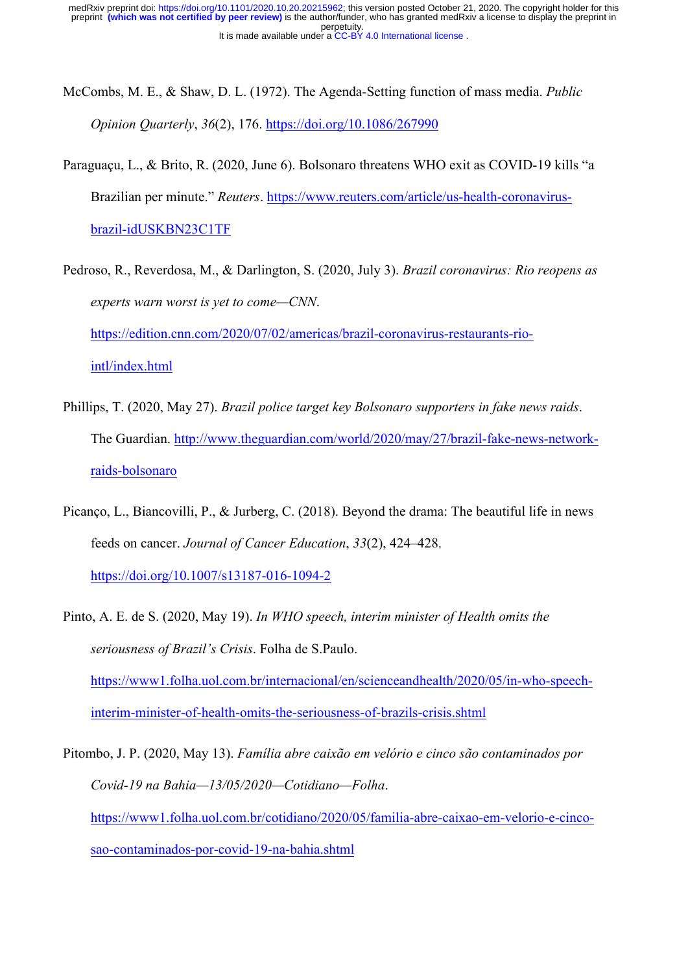- McCombs, M. E., & Shaw, D. L. (1972). The Agenda-Setting function of mass media. *Public Opinion Quarterly*, *36*(2), 176. https://doi.org/10.1086/267990
- Paraguaçu, L., & Brito, R. (2020, June 6). Bolsonaro threatens WHO exit as COVID-19 kills "a Brazilian per minute." *Reuters*. https://www.reuters.com/article/us-health-coronavirusbrazil-idUSKBN23C1TF
- Pedroso, R., Reverdosa, M., & Darlington, S. (2020, July 3). *Brazil coronavirus: Rio reopens as experts warn worst is yet to come—CNN*. https://edition.cnn.com/2020/07/02/americas/brazil-coronavirus-restaurants-riointl/index.html
- Phillips, T. (2020, May 27). *Brazil police target key Bolsonaro supporters in fake news raids*. The Guardian. http://www.theguardian.com/world/2020/may/27/brazil-fake-news-networkraids-bolsonaro
- Picanço, L., Biancovilli, P., & Jurberg, C. (2018). Beyond the drama: The beautiful life in news feeds on cancer. *Journal of Cancer Education*, *33*(2), 424–428. https://doi.org/10.1007/s13187-016-1094-2
- Pinto, A. E. de S. (2020, May 19). *In WHO speech, interim minister of Health omits the seriousness of Brazil's Crisis*. Folha de S.Paulo. https://www1.folha.uol.com.br/internacional/en/scienceandhealth/2020/05/in-who-speechinterim-minister-of-health-omits-the-seriousness-of-brazils-crisis.shtml

Pitombo, J. P. (2020, May 13). *Família abre caixão em velório e cinco são contaminados por Covid-19 na Bahia—13/05/2020—Cotidiano—Folha*. https://www1.folha.uol.com.br/cotidiano/2020/05/familia-abre-caixao-em-velorio-e-cincosao-contaminados-por-covid-19-na-bahia.shtml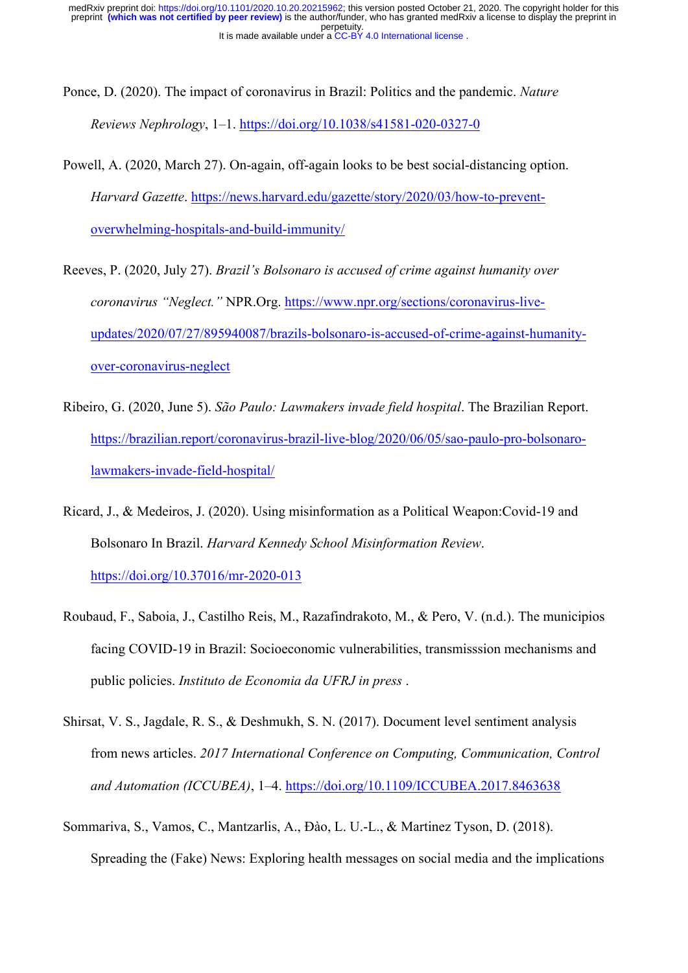- Ponce, D. (2020). The impact of coronavirus in Brazil: Politics and the pandemic. *Nature Reviews Nephrology*, 1–1. https://doi.org/10.1038/s41581-020-0327-0
- Powell, A. (2020, March 27). On-again, off-again looks to be best social-distancing option. *Harvard Gazette*. https://news.harvard.edu/gazette/story/2020/03/how-to-preventoverwhelming-hospitals-and-build-immunity/
- Reeves, P. (2020, July 27). *Brazil's Bolsonaro is accused of crime against humanity over coronavirus "Neglect."* NPR.Org. https://www.npr.org/sections/coronavirus-liveupdates/2020/07/27/895940087/brazils-bolsonaro-is-accused-of-crime-against-humanityover-coronavirus-neglect
- Ribeiro, G. (2020, June 5). *São Paulo: Lawmakers invade field hospital*. The Brazilian Report. https://brazilian.report/coronavirus-brazil-live-blog/2020/06/05/sao-paulo-pro-bolsonarolawmakers-invade-field-hospital/
- Ricard, J., & Medeiros, J. (2020). Using misinformation as a Political Weapon:Covid-19 and Bolsonaro In Brazil. *Harvard Kennedy School Misinformation Review*. https://doi.org/10.37016/mr-2020-013
- Roubaud, F., Saboia, J., Castilho Reis, M., Razafindrakoto, M., & Pero, V. (n.d.). The municipios facing COVID-19 in Brazil: Socioeconomic vulnerabilities, transmisssion mechanisms and public policies. *Instituto de Economia da UFRJ in press* .
- Shirsat, V. S., Jagdale, R. S., & Deshmukh, S. N. (2017). Document level sentiment analysis from news articles. *2017 International Conference on Computing, Communication, Control and Automation (ICCUBEA)*, 1–4. https://doi.org/10.1109/ICCUBEA.2017.8463638
- Sommariva, S., Vamos, C., Mantzarlis, A., Đào, L. U.-L., & Martinez Tyson, D. (2018). Spreading the (Fake) News: Exploring health messages on social media and the implications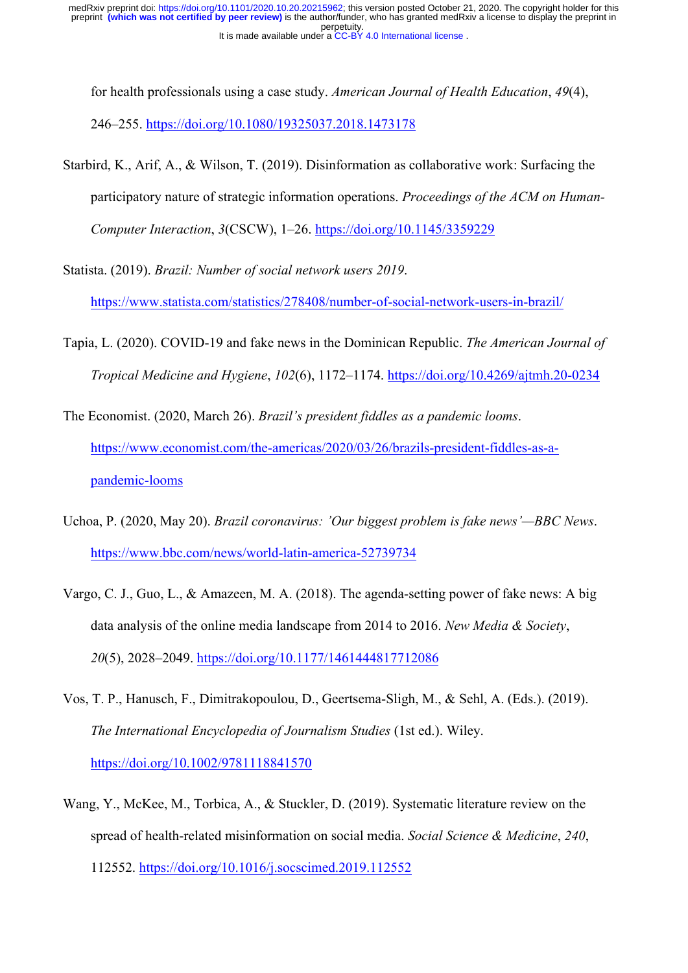for health professionals using a case study. *American Journal of Health Education*, *49*(4), 246–255. https://doi.org/10.1080/19325037.2018.1473178

- Starbird, K., Arif, A., & Wilson, T. (2019). Disinformation as collaborative work: Surfacing the participatory nature of strategic information operations. *Proceedings of the ACM on Human-Computer Interaction*, *3*(CSCW), 1–26. https://doi.org/10.1145/3359229
- Statista. (2019). *Brazil: Number of social network users 2019*.

https://www.statista.com/statistics/278408/number-of-social-network-users-in-brazil/

Tapia, L. (2020). COVID-19 and fake news in the Dominican Republic. *The American Journal of Tropical Medicine and Hygiene*, *102*(6), 1172–1174. https://doi.org/10.4269/ajtmh.20-0234

The Economist. (2020, March 26). *Brazil's president fiddles as a pandemic looms*. https://www.economist.com/the-americas/2020/03/26/brazils-president-fiddles-as-apandemic-looms

- Uchoa, P. (2020, May 20). *Brazil coronavirus: 'Our biggest problem is fake news'—BBC News*. https://www.bbc.com/news/world-latin-america-52739734
- Vargo, C. J., Guo, L., & Amazeen, M. A. (2018). The agenda-setting power of fake news: A big data analysis of the online media landscape from 2014 to 2016. *New Media & Society*, *20*(5), 2028–2049. https://doi.org/10.1177/1461444817712086
- Vos, T. P., Hanusch, F., Dimitrakopoulou, D., Geertsema-Sligh, M., & Sehl, A. (Eds.). (2019). *The International Encyclopedia of Journalism Studies* (1st ed.). Wiley. https://doi.org/10.1002/9781118841570
- Wang, Y., McKee, M., Torbica, A., & Stuckler, D. (2019). Systematic literature review on the spread of health-related misinformation on social media. *Social Science & Medicine*, *240*, 112552. https://doi.org/10.1016/j.socscimed.2019.112552